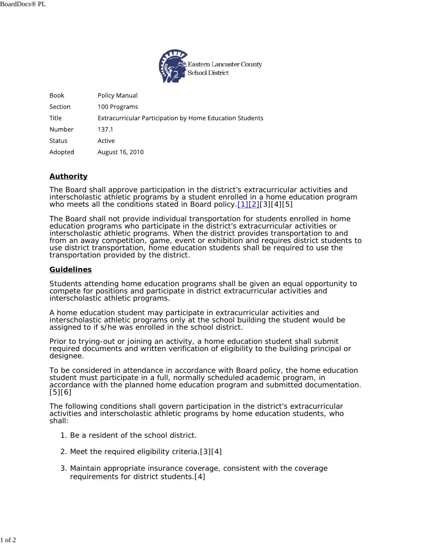

| <b>Book</b> | Policy Manual                                            |
|-------------|----------------------------------------------------------|
| Section     | 100 Programs                                             |
| Title       | Extracurricular Participation by Home Education Students |
| Number      | 137.1                                                    |
| Status      | Active                                                   |
| Adopted     | August 16, 2010                                          |

## **Authority**

The Board shall approve participation in the district's extracurricular activities and interscholastic athletic programs by a student enrolled in a home education program who meets all the conditions stated in Board policy.<sup>[1][2][3][4][5]</sup>

The Board shall not provide individual transportation for students enrolled in home education programs who participate in the district's extracurricular activities or interscholastic athletic programs. When the district provides transportation to and from an away competition, game, event or exhibition and requires district students to use district transportation, home education students shall be required to use the transportation provided by the district.

## **Guidelines**

Students attending home education programs shall be given an equal opportunity to compete for positions and participate in district extracurricular activities and interscholastic athletic programs.

A home education student may participate in extracurricular activities and interscholastic athletic programs only at the school building the student would be assigned to if s/he was enrolled in the school district.

Prior to trying-out or joining an activity, a home education student shall submit required documents and written verification of eligibility to the building principal or designee.

To be considered in attendance in accordance with Board policy, the home education student must participate in a full, normally scheduled academic program, in accordance with the planned home education program and submitted documentation. [5][6]

The following conditions shall govern participation in the district's extracurricular activities and interscholastic athletic programs by home education students, who shall:

- 1. Be a resident of the school district.
- 2. Meet the required eligibility criteria.[3][4]
- 3. Maintain appropriate insurance coverage, consistent with the coverage requirements for district students.[4]